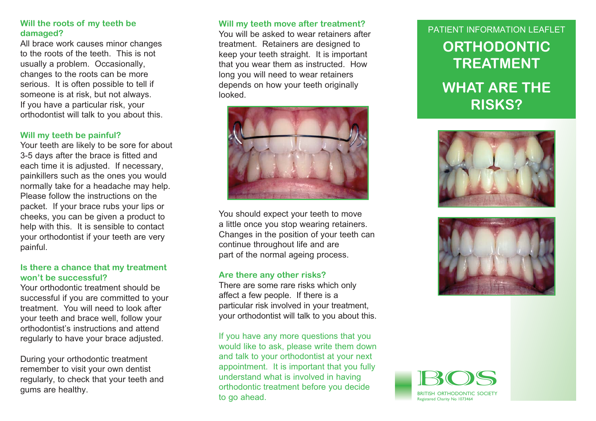# Will the roots of my teeth be **definitive will my teeth move after treatment?**<br>Mou will be asked to wear retainers after and the particle of the PATIENT INFORMATION LEAFLE

All brace work causes minor changes to the roots of the teeth. This is not usually a problem. Occasionally. changes to the roots can be more serious. It is often possible to tell if someone is at risk, but not always. If you have a particular risk, your orthodontist will talk to you about this.

#### **Will my teeth be painful?**

Your teeth are likely to be sore for about 3-5 days after the brace is fitted and each time it is adiusted. If necessary. painkillers such as the ones you would normally take for a headache may help. Please follow the instructions on the packet. If your brace rubs your lips or cheeks, you can be given a product to help with this. It is sensible to contact your orthodontist if your teeth are very painful.

#### **Is there a chance that my treatment won't be successful?**

Your orthodontic treatment should be successful if you are committed to your treatment. You will need to look after vour teeth and brace well, follow your orthodontist's instructions and attend regularly to have your brace adjusted.

During your orthodontic treatment remember to visit your own dentist regularly, to check that your teeth and gums are healthy.

#### **Will my teeth move after treatment?**

treatment. Retainers are designed to keep your teeth straight. It is important that you wear them as instructed. How long you will need to wear retainers depends on how your teeth originally looked.



You should expect your teeth to move a little once you stop wearing retainers. Changes in the position of your teeth can continue throughout life and are part of the normal ageing process.

#### **Are there any other risks?**

There are some rare risks which only affect a few people. If there is a particular risk involved in your treatment, your orthodontist will talk to you about this.

If you have any more questions that you would like to ask, please write them down and talk to your orthodontist at your next appointment. It is important that you fully understand what is involved in having orthodontic treatment before you decide to go ahead.

# **ORTHODONTIC TREATMENTWHAT ARE THE RISKS?** PATIFNT INFORMATION I FAFI FT